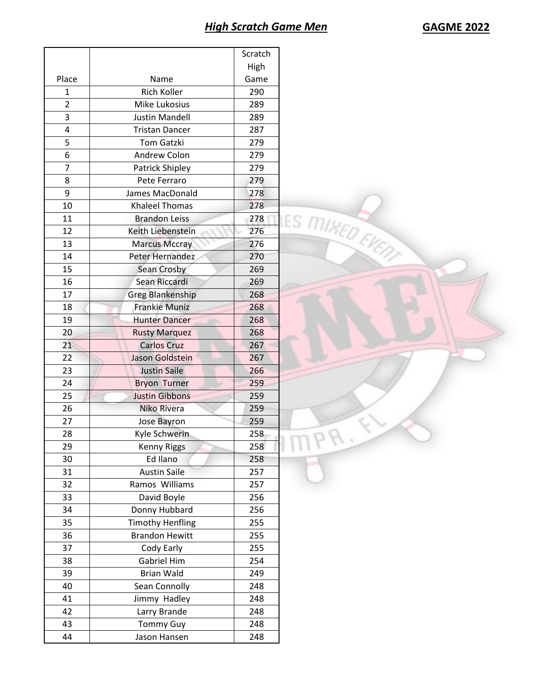| High<br>Place<br>Name<br>Game<br>Rich Koller<br>290<br>1<br>$\overline{2}$<br><b>Mike Lukosius</b><br>289<br>3<br><b>Justin Mandell</b><br>289<br>4<br><b>Tristan Dancer</b><br>287<br>5<br>Tom Gatzki<br>279<br>6<br>Andrew Colon<br>279<br>$\overline{7}$<br>279<br>Patrick Shipley<br>8<br>Pete Ferraro<br>279<br>9<br>James MacDonald<br>278<br>278<br>10<br>Khaleel Thomas<br>LES MIKED EVENT<br>11<br><b>Brandon Leiss</b><br>278<br>276<br>12<br>Keith Liebenstein<br>13<br><b>Marcus Mccray</b><br>276<br>14<br>Peter Hernandez<br>270<br>269<br>15<br>Sean Crosby<br>Sean Riccardi<br>16<br>269<br>17<br>Greg Blankenship<br>268<br>18<br><b>Frankie Muniz</b><br>268<br>19<br><b>Hunter Dancer</b><br>268<br>20<br>268<br><b>Rusty Marquez</b><br>21<br><b>Carlos Cruz</b><br>267<br>Jason Goldstein<br>22<br>267<br><b>Justin Saile</b><br>23<br>266<br>259<br>24<br><b>Bryon Turner</b><br><b>Justin Gibbons</b><br>25<br>259<br>Niko Rivera<br>259<br>26<br>27<br>259<br>Jose Bayron<br>28<br>Kyle Schwerin<br>258<br>29<br><b>Kenny Riggs</b><br>258<br>Ed Ilano<br>258<br>30<br><b>Austin Saile</b><br>257<br>31<br>Ramos Williams<br>32<br>257<br>David Boyle<br>33<br>256<br>Donny Hubbard<br>34<br>256<br><b>Timothy Henfling</b><br>255<br>35<br><b>Brandon Hewitt</b><br>255<br>36<br>Cody Early<br>255<br>37<br>Gabriel Him<br>254<br>38<br><b>Brian Wald</b><br>249<br>39<br>Sean Connolly<br>40<br>248<br>Jimmy Hadley<br>248<br>41<br>Larry Brande<br>42<br>248<br>248<br>43<br><b>Tommy Guy</b> |    |              | Scratch |  |
|--------------------------------------------------------------------------------------------------------------------------------------------------------------------------------------------------------------------------------------------------------------------------------------------------------------------------------------------------------------------------------------------------------------------------------------------------------------------------------------------------------------------------------------------------------------------------------------------------------------------------------------------------------------------------------------------------------------------------------------------------------------------------------------------------------------------------------------------------------------------------------------------------------------------------------------------------------------------------------------------------------------------------------------------------------------------------------------------------------------------------------------------------------------------------------------------------------------------------------------------------------------------------------------------------------------------------------------------------------------------------------------------------------------------------------------------------------------------------------------------------------------------------|----|--------------|---------|--|
|                                                                                                                                                                                                                                                                                                                                                                                                                                                                                                                                                                                                                                                                                                                                                                                                                                                                                                                                                                                                                                                                                                                                                                                                                                                                                                                                                                                                                                                                                                                          |    |              |         |  |
|                                                                                                                                                                                                                                                                                                                                                                                                                                                                                                                                                                                                                                                                                                                                                                                                                                                                                                                                                                                                                                                                                                                                                                                                                                                                                                                                                                                                                                                                                                                          |    |              |         |  |
|                                                                                                                                                                                                                                                                                                                                                                                                                                                                                                                                                                                                                                                                                                                                                                                                                                                                                                                                                                                                                                                                                                                                                                                                                                                                                                                                                                                                                                                                                                                          |    |              |         |  |
|                                                                                                                                                                                                                                                                                                                                                                                                                                                                                                                                                                                                                                                                                                                                                                                                                                                                                                                                                                                                                                                                                                                                                                                                                                                                                                                                                                                                                                                                                                                          |    |              |         |  |
|                                                                                                                                                                                                                                                                                                                                                                                                                                                                                                                                                                                                                                                                                                                                                                                                                                                                                                                                                                                                                                                                                                                                                                                                                                                                                                                                                                                                                                                                                                                          |    |              |         |  |
|                                                                                                                                                                                                                                                                                                                                                                                                                                                                                                                                                                                                                                                                                                                                                                                                                                                                                                                                                                                                                                                                                                                                                                                                                                                                                                                                                                                                                                                                                                                          |    |              |         |  |
|                                                                                                                                                                                                                                                                                                                                                                                                                                                                                                                                                                                                                                                                                                                                                                                                                                                                                                                                                                                                                                                                                                                                                                                                                                                                                                                                                                                                                                                                                                                          |    |              |         |  |
|                                                                                                                                                                                                                                                                                                                                                                                                                                                                                                                                                                                                                                                                                                                                                                                                                                                                                                                                                                                                                                                                                                                                                                                                                                                                                                                                                                                                                                                                                                                          |    |              |         |  |
|                                                                                                                                                                                                                                                                                                                                                                                                                                                                                                                                                                                                                                                                                                                                                                                                                                                                                                                                                                                                                                                                                                                                                                                                                                                                                                                                                                                                                                                                                                                          |    |              |         |  |
|                                                                                                                                                                                                                                                                                                                                                                                                                                                                                                                                                                                                                                                                                                                                                                                                                                                                                                                                                                                                                                                                                                                                                                                                                                                                                                                                                                                                                                                                                                                          |    |              |         |  |
|                                                                                                                                                                                                                                                                                                                                                                                                                                                                                                                                                                                                                                                                                                                                                                                                                                                                                                                                                                                                                                                                                                                                                                                                                                                                                                                                                                                                                                                                                                                          |    |              |         |  |
|                                                                                                                                                                                                                                                                                                                                                                                                                                                                                                                                                                                                                                                                                                                                                                                                                                                                                                                                                                                                                                                                                                                                                                                                                                                                                                                                                                                                                                                                                                                          |    |              |         |  |
|                                                                                                                                                                                                                                                                                                                                                                                                                                                                                                                                                                                                                                                                                                                                                                                                                                                                                                                                                                                                                                                                                                                                                                                                                                                                                                                                                                                                                                                                                                                          |    |              |         |  |
|                                                                                                                                                                                                                                                                                                                                                                                                                                                                                                                                                                                                                                                                                                                                                                                                                                                                                                                                                                                                                                                                                                                                                                                                                                                                                                                                                                                                                                                                                                                          |    |              |         |  |
|                                                                                                                                                                                                                                                                                                                                                                                                                                                                                                                                                                                                                                                                                                                                                                                                                                                                                                                                                                                                                                                                                                                                                                                                                                                                                                                                                                                                                                                                                                                          |    |              |         |  |
|                                                                                                                                                                                                                                                                                                                                                                                                                                                                                                                                                                                                                                                                                                                                                                                                                                                                                                                                                                                                                                                                                                                                                                                                                                                                                                                                                                                                                                                                                                                          |    |              |         |  |
|                                                                                                                                                                                                                                                                                                                                                                                                                                                                                                                                                                                                                                                                                                                                                                                                                                                                                                                                                                                                                                                                                                                                                                                                                                                                                                                                                                                                                                                                                                                          |    |              |         |  |
|                                                                                                                                                                                                                                                                                                                                                                                                                                                                                                                                                                                                                                                                                                                                                                                                                                                                                                                                                                                                                                                                                                                                                                                                                                                                                                                                                                                                                                                                                                                          |    |              |         |  |
|                                                                                                                                                                                                                                                                                                                                                                                                                                                                                                                                                                                                                                                                                                                                                                                                                                                                                                                                                                                                                                                                                                                                                                                                                                                                                                                                                                                                                                                                                                                          |    |              |         |  |
|                                                                                                                                                                                                                                                                                                                                                                                                                                                                                                                                                                                                                                                                                                                                                                                                                                                                                                                                                                                                                                                                                                                                                                                                                                                                                                                                                                                                                                                                                                                          |    |              |         |  |
|                                                                                                                                                                                                                                                                                                                                                                                                                                                                                                                                                                                                                                                                                                                                                                                                                                                                                                                                                                                                                                                                                                                                                                                                                                                                                                                                                                                                                                                                                                                          |    |              |         |  |
|                                                                                                                                                                                                                                                                                                                                                                                                                                                                                                                                                                                                                                                                                                                                                                                                                                                                                                                                                                                                                                                                                                                                                                                                                                                                                                                                                                                                                                                                                                                          |    |              |         |  |
|                                                                                                                                                                                                                                                                                                                                                                                                                                                                                                                                                                                                                                                                                                                                                                                                                                                                                                                                                                                                                                                                                                                                                                                                                                                                                                                                                                                                                                                                                                                          |    |              |         |  |
|                                                                                                                                                                                                                                                                                                                                                                                                                                                                                                                                                                                                                                                                                                                                                                                                                                                                                                                                                                                                                                                                                                                                                                                                                                                                                                                                                                                                                                                                                                                          |    |              |         |  |
|                                                                                                                                                                                                                                                                                                                                                                                                                                                                                                                                                                                                                                                                                                                                                                                                                                                                                                                                                                                                                                                                                                                                                                                                                                                                                                                                                                                                                                                                                                                          |    |              |         |  |
|                                                                                                                                                                                                                                                                                                                                                                                                                                                                                                                                                                                                                                                                                                                                                                                                                                                                                                                                                                                                                                                                                                                                                                                                                                                                                                                                                                                                                                                                                                                          |    |              |         |  |
|                                                                                                                                                                                                                                                                                                                                                                                                                                                                                                                                                                                                                                                                                                                                                                                                                                                                                                                                                                                                                                                                                                                                                                                                                                                                                                                                                                                                                                                                                                                          |    |              |         |  |
|                                                                                                                                                                                                                                                                                                                                                                                                                                                                                                                                                                                                                                                                                                                                                                                                                                                                                                                                                                                                                                                                                                                                                                                                                                                                                                                                                                                                                                                                                                                          |    |              |         |  |
|                                                                                                                                                                                                                                                                                                                                                                                                                                                                                                                                                                                                                                                                                                                                                                                                                                                                                                                                                                                                                                                                                                                                                                                                                                                                                                                                                                                                                                                                                                                          |    |              |         |  |
|                                                                                                                                                                                                                                                                                                                                                                                                                                                                                                                                                                                                                                                                                                                                                                                                                                                                                                                                                                                                                                                                                                                                                                                                                                                                                                                                                                                                                                                                                                                          |    |              |         |  |
|                                                                                                                                                                                                                                                                                                                                                                                                                                                                                                                                                                                                                                                                                                                                                                                                                                                                                                                                                                                                                                                                                                                                                                                                                                                                                                                                                                                                                                                                                                                          |    |              |         |  |
|                                                                                                                                                                                                                                                                                                                                                                                                                                                                                                                                                                                                                                                                                                                                                                                                                                                                                                                                                                                                                                                                                                                                                                                                                                                                                                                                                                                                                                                                                                                          |    |              |         |  |
|                                                                                                                                                                                                                                                                                                                                                                                                                                                                                                                                                                                                                                                                                                                                                                                                                                                                                                                                                                                                                                                                                                                                                                                                                                                                                                                                                                                                                                                                                                                          |    |              |         |  |
|                                                                                                                                                                                                                                                                                                                                                                                                                                                                                                                                                                                                                                                                                                                                                                                                                                                                                                                                                                                                                                                                                                                                                                                                                                                                                                                                                                                                                                                                                                                          |    |              |         |  |
|                                                                                                                                                                                                                                                                                                                                                                                                                                                                                                                                                                                                                                                                                                                                                                                                                                                                                                                                                                                                                                                                                                                                                                                                                                                                                                                                                                                                                                                                                                                          |    |              |         |  |
|                                                                                                                                                                                                                                                                                                                                                                                                                                                                                                                                                                                                                                                                                                                                                                                                                                                                                                                                                                                                                                                                                                                                                                                                                                                                                                                                                                                                                                                                                                                          |    |              |         |  |
|                                                                                                                                                                                                                                                                                                                                                                                                                                                                                                                                                                                                                                                                                                                                                                                                                                                                                                                                                                                                                                                                                                                                                                                                                                                                                                                                                                                                                                                                                                                          |    |              |         |  |
|                                                                                                                                                                                                                                                                                                                                                                                                                                                                                                                                                                                                                                                                                                                                                                                                                                                                                                                                                                                                                                                                                                                                                                                                                                                                                                                                                                                                                                                                                                                          |    |              |         |  |
|                                                                                                                                                                                                                                                                                                                                                                                                                                                                                                                                                                                                                                                                                                                                                                                                                                                                                                                                                                                                                                                                                                                                                                                                                                                                                                                                                                                                                                                                                                                          |    |              |         |  |
|                                                                                                                                                                                                                                                                                                                                                                                                                                                                                                                                                                                                                                                                                                                                                                                                                                                                                                                                                                                                                                                                                                                                                                                                                                                                                                                                                                                                                                                                                                                          |    |              |         |  |
|                                                                                                                                                                                                                                                                                                                                                                                                                                                                                                                                                                                                                                                                                                                                                                                                                                                                                                                                                                                                                                                                                                                                                                                                                                                                                                                                                                                                                                                                                                                          |    |              |         |  |
|                                                                                                                                                                                                                                                                                                                                                                                                                                                                                                                                                                                                                                                                                                                                                                                                                                                                                                                                                                                                                                                                                                                                                                                                                                                                                                                                                                                                                                                                                                                          |    |              |         |  |
|                                                                                                                                                                                                                                                                                                                                                                                                                                                                                                                                                                                                                                                                                                                                                                                                                                                                                                                                                                                                                                                                                                                                                                                                                                                                                                                                                                                                                                                                                                                          |    |              |         |  |
|                                                                                                                                                                                                                                                                                                                                                                                                                                                                                                                                                                                                                                                                                                                                                                                                                                                                                                                                                                                                                                                                                                                                                                                                                                                                                                                                                                                                                                                                                                                          |    |              |         |  |
|                                                                                                                                                                                                                                                                                                                                                                                                                                                                                                                                                                                                                                                                                                                                                                                                                                                                                                                                                                                                                                                                                                                                                                                                                                                                                                                                                                                                                                                                                                                          |    |              |         |  |
|                                                                                                                                                                                                                                                                                                                                                                                                                                                                                                                                                                                                                                                                                                                                                                                                                                                                                                                                                                                                                                                                                                                                                                                                                                                                                                                                                                                                                                                                                                                          | 44 | Jason Hansen | 248     |  |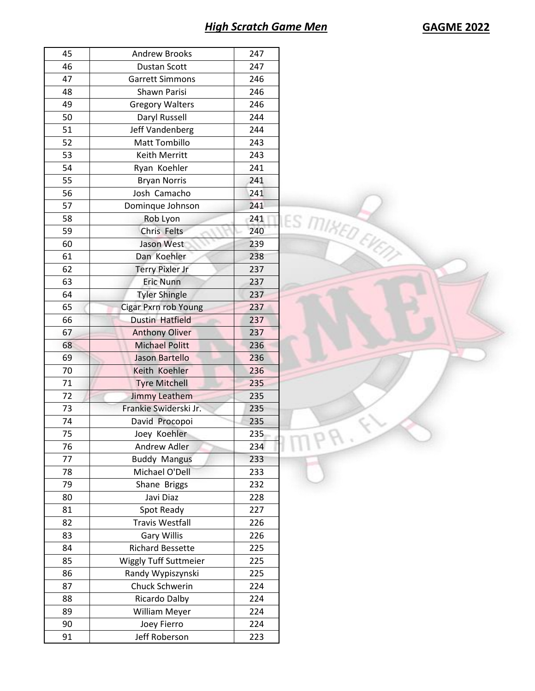## *High Scratch Game Men* **GAGME 2022**

| 45 | <b>Andrew Brooks</b>         | 247                           |
|----|------------------------------|-------------------------------|
| 46 | <b>Dustan Scott</b>          | 247                           |
| 47 | <b>Garrett Simmons</b>       | 246                           |
| 48 | Shawn Parisi                 | 246                           |
| 49 | <b>Gregory Walters</b>       | 246                           |
| 50 | Daryl Russell                | 244                           |
| 51 | Jeff Vandenberg              | 244                           |
| 52 | <b>Matt Tombillo</b>         | 243                           |
| 53 | Keith Merritt                | 243                           |
| 54 | Ryan Koehler                 | 241                           |
| 55 | <b>Bryan Norris</b>          | 241                           |
| 56 | Josh Camacho                 | 241                           |
| 57 | Dominque Johnson             | 241                           |
| 58 | Rob Lyon                     | 241                           |
| 59 | Chris Felts                  | 240                           |
| 60 | Jason West                   | <b>IES MIKED EVENT</b><br>239 |
| 61 | Dan Koehler                  | 238                           |
| 62 | <b>Terry Pixler Jr</b>       | 237                           |
| 63 | <b>Eric Nunn</b>             |                               |
| 64 |                              | 237<br>237                    |
|    | <b>Tyler Shingle</b>         |                               |
| 65 | <b>Cigar Pxrn rob Young</b>  | 237                           |
| 66 | <b>Dustin Hatfield</b>       | 237                           |
| 67 | <b>Anthony Oliver</b>        | 237                           |
| 68 | <b>Michael Politt</b>        | 236                           |
| 69 | Jason Bartello               | 236                           |
| 70 | Keith Koehler                | 236                           |
| 71 | <b>Tyre Mitchell</b>         | 235                           |
| 72 | <b>Jimmy Leathem</b>         | 235                           |
| 73 | Frankie Swiderski Jr.        | 235                           |
| 74 | David Procopoi               | 235                           |
| 75 | Joey Koehler                 | 235                           |
| 76 | Andrew Adler                 | 234                           |
| 77 | <b>Buddy Mangus</b>          | 233                           |
| 78 | Michael O'Dell               | 233                           |
| 79 | Shane Briggs                 | 232                           |
| 80 | Javi Diaz                    | 228                           |
| 81 | Spot Ready                   | 227                           |
| 82 | <b>Travis Westfall</b>       | 226                           |
| 83 | <b>Gary Willis</b>           | 226                           |
| 84 | <b>Richard Bessette</b>      | 225                           |
| 85 | <b>Wiggly Tuff Suttmeier</b> | 225                           |
| 86 | Randy Wypiszynski            | 225                           |
| 87 | Chuck Schwerin               | 224                           |
|    |                              |                               |
| 88 | Ricardo Dalby                | 224                           |
| 89 | William Meyer                | 224                           |
| 90 |                              | 224                           |
| 91 | Joey Fierro<br>Jeff Roberson | 223                           |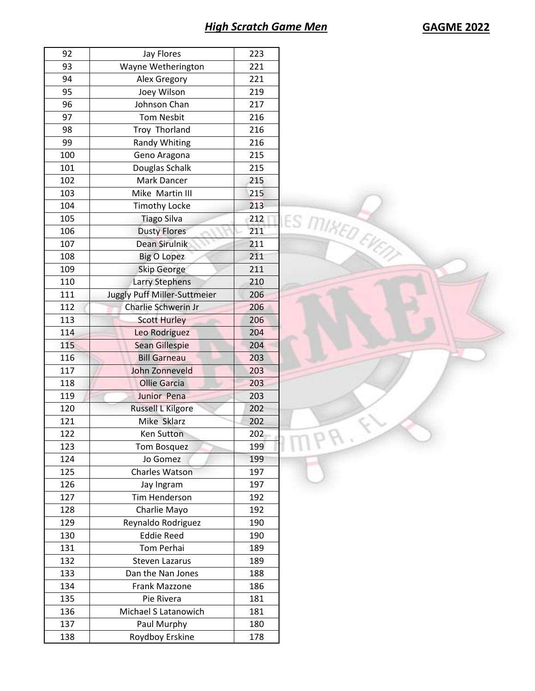PA.

| 92  | Jay Flores                   | 223                    |
|-----|------------------------------|------------------------|
| 93  | Wayne Wetherington           | 221                    |
| 94  | Alex Gregory                 | 221                    |
| 95  | Joey Wilson                  | 219                    |
| 96  | Johnson Chan                 | 217                    |
| 97  | <b>Tom Nesbit</b>            | 216                    |
| 98  | Troy Thorland                | 216                    |
| 99  | <b>Randy Whiting</b>         | 216                    |
| 100 | Geno Aragona                 | 215                    |
| 101 | Douglas Schalk               | 215                    |
| 102 | Mark Dancer                  | 215                    |
| 103 | Mike Martin III              | 215                    |
| 104 | <b>Timothy Locke</b>         | 213                    |
| 105 | <b>Tiago Silva</b>           | LES MIKED EVENT<br>212 |
| 106 | <b>Dusty Flores</b>          | 211                    |
| 107 | Dean Sirulnik                | 211                    |
| 108 | <b>Big O Lopez</b>           | 211                    |
| 109 | <b>Skip George</b>           | 211                    |
| 110 | <b>Larry Stephens</b>        | 210                    |
| 111 | Juggly Puff Miller-Suttmeier | 206                    |
| 112 | Charlie Schwerin Jr          | 206                    |
| 113 | <b>Scott Hurley</b>          | 206                    |
| 114 | Leo Rodriguez                | 204                    |
| 115 | Sean Gillespie               | 204                    |
| 116 | <b>Bill Garneau</b>          | 203                    |
| 117 | John Zonneveld               | 203                    |
| 118 | <b>Ollie Garcia</b>          | 203                    |
| 119 | Junior Pena                  | 203                    |
| 120 | Russell L Kilgore            | 202                    |
| 121 | Mike Sklarz                  | 202                    |
| 122 | <b>Ken Sutton</b>            | 202                    |

123 Tom Bosquez 199 124 Jo Gomez 199 125 Charles Watson 197 126 Jay Ingram 197 127 | Tim Henderson | 192 128 Charlie Mayo 192 129 Reynaldo Rodriguez | 190 130 Eddie Reed 190 131 Tom Perhai 189 132 Steven Lazarus 189 **Dan the Nan Jones** 188 134 | Frank Mazzone | 186 135 Pie Rivera 181 136 Michael S Latanowich 181 137 Paul Murphy 180 138 Roydboy Erskine 178